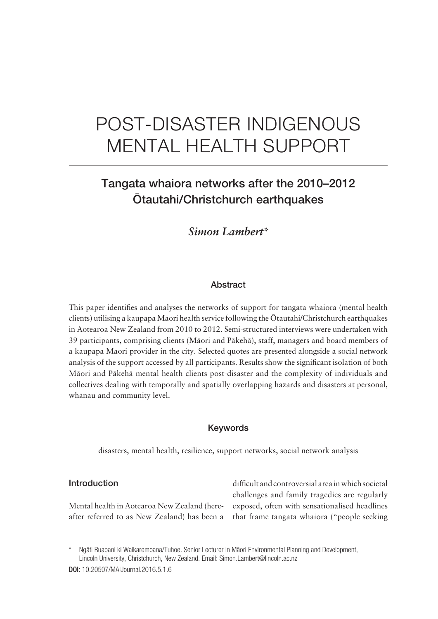# POST- DISASTER INDIGENOUS MENTAL HEALTH SUPPORT

# Tangata whaiora networks after the 2010–2012 Ötautahi/Christchurch earthquakes

### *Simon Lambert\**

#### **Abstract**

This paper identifies and analyses the networks of support for tangata whaiora (mental health clients) utilising a kaupapa Mäori health service following the Ötautahi/Christchurch earthquakes in Aotearoa New Zealand from 2010 to 2012. Semi- structured interviews were undertaken with 39 participants, comprising clients (Mäori and Päkehä), staff, managers and board members of a kaupapa Mäori provider in the city. Selected quotes are presented alongside a social network analysis of the support accessed by all participants. Results show the significant isolation of both Mäori and Päkehä mental health clients post- disaster and the complexity of individuals and collectives dealing with temporally and spatially overlapping hazards and disasters at personal, whänau and community level.

#### Keywords

disasters, mental health, resilience, support networks, social network analysis

#### Introduction

Mental health in Aotearoa New Zealand (hereafter referred to as New Zealand) has been a difficult and controversial area in which societal challenges and family tragedies are regularly exposed, often with sensationalised headlines that frame tangata whaiora ("people seeking

Ngāti Ruapani ki Waikaremoana/Tuhoe. Senior Lecturer in Māori Environmental Planning and Development, Lincoln University, Christchurch, New Zealand. Email: Simon.Lambert@lincoln.ac.nz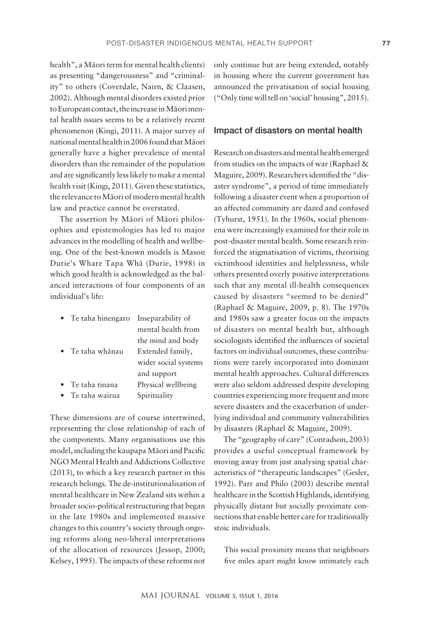health", a Mäori term for mental health clients) as presenting "dangerousness" and "criminality" to others (Coverdale, Nairn, & Claasen, 2002). Although mental disorders existed prior to European contact, the increase in Mäori mental health issues seems to be a relatively recent phenomenon (Kingi, 2011). A major survey of national mental health in 2006 found that Mäori generally have a higher prevalence of mental disorders than the remainder of the population and are significantly less likely to make a mental health visit (Kingi, 2011). Given these statistics, the relevance to Mäori of modern mental health law and practice cannot be overstated.

The assertion by Mäori of Mäori philosophies and epistemologies has led to major advances in the modelling of health and wellbeing. One of the best-known models is Mason Durie's Whare Tapa Whä (Durie, 1998) in which good health is acknowledged as the balanced interactions of four components of an individual's life:

| Te taha hinengaro | Inseparability of    |
|-------------------|----------------------|
|                   | mental health from   |
|                   | the mind and body    |
| Te taha whānau    | Extended family,     |
|                   | wider social systems |
|                   | and support          |
| Te taha tinana    | Physical wellbeing   |
| Te taha wairua    | Spirituality         |
|                   |                      |

These dimensions are of course intertwined, representing the close relationship of each of the components. Many organisations use this model, including the kaupapa Māori and Pacific NGO Mental Health and Addictions Collective (2013), to which a key research partner in this research belongs. The de- institutionalisation of mental healthcare in New Zealand sits within a broader socio- political restructuring that began in the late 1980s and implemented massive changes to this country's society through ongoing reforms along neo-liberal interpretations of the allocation of resources (Jessop, 2000; Kelsey, 1995). The impacts of these reforms not only continue but are being extended, notably in housing where the current government has announced the privatisation of social housing ("Only time will tell on 'social' housing", 2015).

#### Impact of disasters on mental health

Research on disasters and mental health emerged from studies on the impacts of war (Raphael & Maguire, 2009). Researchers identified the "disaster syndrome", a period of time immediately following a disaster event when a proportion of an affected community are dazed and confused (Tyhurst, 1951). In the 1960s, social phenomena were increasingly examined for their role in post- disaster mental health. Some research reinforced the stigmatisation of victims, theorising victimhood identities and helplessness, while others presented overly positive interpretations such that any mental ill-health consequences caused by disasters "seemed to be denied" (Raphael & Maguire, 2009, p. 8). The 1970s and 1980s saw a greater focus on the impacts of disasters on mental health but, although sociologists identified the influences of societal factors on individual outcomes, these contributions were rarely incorporated into dominant mental health approaches. Cultural differences were also seldom addressed despite developing countries experiencing more frequent and more severe disasters and the exacerbation of underlying individual and community vulnerabilities by disasters (Raphael & Maguire, 2009).

The "geography of care" (Conradson, 2003) provides a useful conceptual framework by moving away from just analysing spatial characteristics of "therapeutic landscapes" (Gesler, 1992). Parr and Philo (2003) describe mental healthcare in the Scottish Highlands, identifying physically distant but socially proximate connections that enable better care for traditionally stoic individuals.

This social proximity means that neighbours five miles apart might know intimately each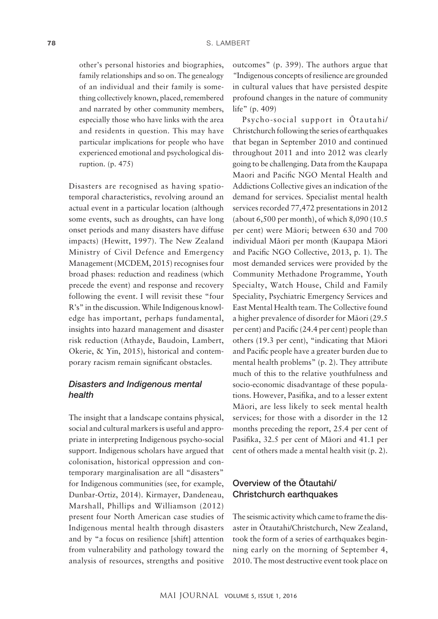other's personal histories and biographies, family relationships and so on. The genealogy of an individual and their family is something collectively known, placed, remembered and narrated by other community members, especially those who have links with the area and residents in question. This may have particular implications for people who have experienced emotional and psychological disruption. (p. 475)

Disasters are recognised as having spatiotemporal characteristics, revolving around an actual event in a particular location (although some events, such as droughts, can have long onset periods and many disasters have diffuse impacts) (Hewitt, 1997). The New Zealand Ministry of Civil Defence and Emergency Management (MCDEM, 2015) recognises four broad phases: reduction and readiness (which precede the event) and response and recovery following the event. I will revisit these "four R's" in the discussion. While Indigenous knowledge has important, perhaps fundamental, insights into hazard management and disaster risk reduction (Athayde, Baudoin, Lambert, Okerie, & Yin, 2015), historical and contemporary racism remain significant obstacles.

#### *Disasters and Indigenous mental health*

The insight that a landscape contains physical, social and cultural markers is useful and appropriate in interpreting Indigenous psycho-social support. Indigenous scholars have argued that colonisation, historical oppression and contemporary marginalisation are all "disasters" for Indigenous communities (see, for example, Dunbar- Ortiz, 2014). Kirmayer, Dandeneau, Marshall, Phillips and Williamson (2012) present four North American case studies of Indigenous mental health through disasters and by "a focus on resilience [shift] attention from vulnerability and pathology toward the analysis of resources, strengths and positive outcomes" (p. 399). The authors argue that *"*Indigenous concepts of resilience are grounded in cultural values that have persisted despite profound changes in the nature of community life" (p. 409)

Psycho- social support in Ötautahi/ Christchurch following the series of earthquakes that began in September 2010 and continued throughout 2011 and into 2012 was clearly going to be challenging. Data from the Kaupapa Maori and Pacific NGO Mental Health and Addictions Collective gives an indication of the demand for services. Specialist mental health services recorded 77,472 presentations in 2012 (about 6,500 per month), of which 8,090 (10.5 per cent) were Mäori; between 630 and 700 individual Mäori per month (Kaupapa Mäori and Pacific NGO Collective, 2013, p. 1). The most demanded services were provided by the Community Methadone Programme, Youth Specialty, Watch House, Child and Family Speciality, Psychiatric Emergency Services and East Mental Health team. The Collective found a higher prevalence of disorder for Mäori (29.5 per cent) and Pacific (24.4 per cent) people than others (19.3 per cent), "indicating that Mäori and Pacific people have a greater burden due to mental health problems" (p. 2). They attribute much of this to the relative youthfulness and socio-economic disadvantage of these populations. However, Pasifika, and to a lesser extent Mäori, are less likely to seek mental health services; for those with a disorder in the 12 months preceding the report, 25.4 per cent of Pasifika, 32.5 per cent of Māori and 41.1 per cent of others made a mental health visit (p. 2).

#### Overview of the Ötautahi/ Christchurch earthquakes

The seismic activity which came to frame the disaster in Ötautahi/Christchurch, New Zealand, took the form of a series of earthquakes beginning early on the morning of September 4, 2010. The most destructive event took place on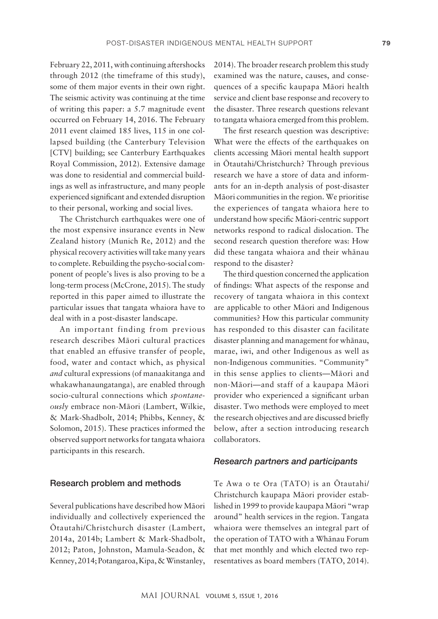February 22, 2011, with continuing aftershocks through 2012 (the timeframe of this study), some of them major events in their own right. The seismic activity was continuing at the time of writing this paper: a 5.7 magnitude event occurred on February 14, 2016. The February 2011 event claimed 185 lives, 115 in one collapsed building (the Canterbury Television [CTV] building; see Canterbury Earthquakes Royal Commission, 2012). Extensive damage was done to residential and commercial buildings as well as infrastructure, and many people experienced significant and extended disruption to their personal, working and social lives.

The Christchurch earthquakes were one of the most expensive insurance events in New Zealand history (Munich Re, 2012) and the physical recovery activities will take many years to complete. Rebuilding the psycho-social component of people's lives is also proving to be a long-term process (McCrone, 2015). The study reported in this paper aimed to illustrate the particular issues that tangata whaiora have to deal with in a post-disaster landscape.

An important finding from previous research describes Mäori cultural practices that enabled an effusive transfer of people, food, water and contact which, as physical *and* cultural expressions (of manaakitanga and whakawhanaungatanga), are enabled through socio- cultural connections which *spontaneously* embrace non-Māori (Lambert, Wilkie, & Mark- Shadbolt, 2014; Phibbs, Kenney, & Solomon, 2015). These practices informed the observed support networks for tangata whaiora participants in this research.

#### Research problem and methods

Several publications have described how Mäori individually and collectively experienced the Ötautahi/Christchurch disaster (Lambert, 2014a, 2014b; Lambert & Mark-Shadbolt, 2012; Paton, Johnston, Mamula-Seadon, & Kenney, 2014; Potangaroa, Kipa, & Winstanley,

2014). The broader research problem this study examined was the nature, causes, and consequences of a specific kaupapa Māori health service and client base response and recovery to the disaster. Three research questions relevant to tangata whaiora emerged from this problem.

The first research question was descriptive: What were the effects of the earthquakes on clients accessing Mäori mental health support in Ötautahi/Christchurch? Through previous research we have a store of data and informants for an in- depth analysis of post- disaster Mäori communities in the region. We prioritise the experiences of tangata whaiora here to understand how specific Māori-centric support networks respond to radical dislocation. The second research question therefore was: How did these tangata whaiora and their whänau respond to the disaster?

The third question concerned the application of findings: What aspects of the response and recovery of tangata whaiora in this context are applicable to other Mäori and Indigenous communities? How this particular community has responded to this disaster can facilitate disaster planning and management for whänau, marae, iwi, and other Indigenous as well as non- Indigenous communities. "Community" in this sense applies to clients—Mäori and non- Mäori—and staff of a kaupapa Mäori provider who experienced a significant urban disaster. Two methods were employed to meet the research objectives and are discussed briefly below, after a section introducing research collaborators.

#### *Research partners and participants*

Te Awa o te Ora (TATO) is an Ötautahi/ Christchurch kaupapa Mäori provider established in 1999 to provide kaupapa Mäori "wrap around" health services in the region. Tangata whaiora were themselves an integral part of the operation of TATO with a Whänau Forum that met monthly and which elected two representatives as board members (TATO, 2014).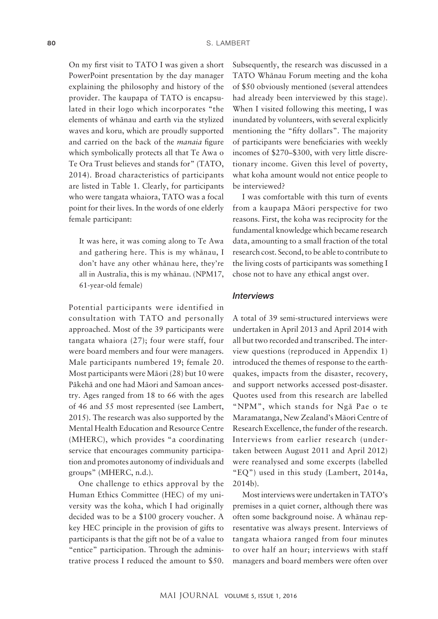On my first visit to TATO I was given a short PowerPoint presentation by the day manager explaining the philosophy and history of the provider. The kaupapa of TATO is encapsulated in their logo which incorporates "the elements of whänau and earth via the stylized waves and koru, which are proudly supported and carried on the back of the *manaia* figure which symbolically protects all that Te Awa o Te Ora Trust believes and stands for" (TATO, 2014). Broad characteristics of participants are listed in Table 1. Clearly, for participants who were tangata whaiora, TATO was a focal point for their lives. In the words of one elderly female participant:

It was here, it was coming along to Te Awa and gathering here. This is my whänau, I don't have any other whänau here, they're all in Australia, this is my whänau. (NPM17, 61- year- old female)

Potential participants were identified in consultation with TATO and personally approached. Most of the 39 participants were tangata whaiora (27); four were staff, four were board members and four were managers. Male participants numbered 19; female 20. Most participants were Mäori (28) but 10 were Päkehä and one had Mäori and Samoan ancestry. Ages ranged from 18 to 66 with the ages of 46 and 55 most represented (see Lambert, 2015). The research was also supported by the Mental Health Education and Resource Centre (MHERC), which provides "a coordinating service that encourages community participation and promotes autonomy of individuals and groups" (MHERC, n.d.).

One challenge to ethics approval by the Human Ethics Committee (HEC) of my university was the koha, which I had originally decided was to be a \$100 grocery voucher. A key HEC principle in the provision of gifts to participants is that the gift not be of a value to "entice" participation. Through the administrative process I reduced the amount to \$50. Subsequently, the research was discussed in a TATO Whänau Forum meeting and the koha of \$50 obviously mentioned (several attendees had already been interviewed by this stage). When I visited following this meeting, I was inundated by volunteers, with several explicitly mentioning the "fifty dollars". The majority of participants were beneficiaries with weekly incomes of \$270–\$300, with very little discretionary income. Given this level of poverty, what koha amount would not entice people to be interviewed?

I was comfortable with this turn of events from a kaupapa Mäori perspective for two reasons. First, the koha was reciprocity for the fundamental knowledge which became research data, amounting to a small fraction of the total research cost. Second, to be able to contribute to the living costs of participants was something I chose not to have any ethical angst over.

#### *Interviews*

A total of 39 semi-structured interviews were undertaken in April 2013 and April 2014 with all but two recorded and transcribed. The interview questions (reproduced in Appendix 1) introduced the themes of response to the earthquakes, impacts from the disaster, recovery, and support networks accessed post-disaster. Quotes used from this research are labelled "NPM", which stands for Ngä Pae o te Maramatanga, New Zealand's Mäori Centre of Research Excellence, the funder of the research. Interviews from earlier research (undertaken between August 2011 and April 2012) were reanalysed and some excerpts (labelled "EQ") used in this study (Lambert, 2014a, 2014b).

Most interviews were undertaken in TATO's premises in a quiet corner, although there was often some background noise. A whänau representative was always present. Interviews of tangata whaiora ranged from four minutes to over half an hour; interviews with staff managers and board members were often over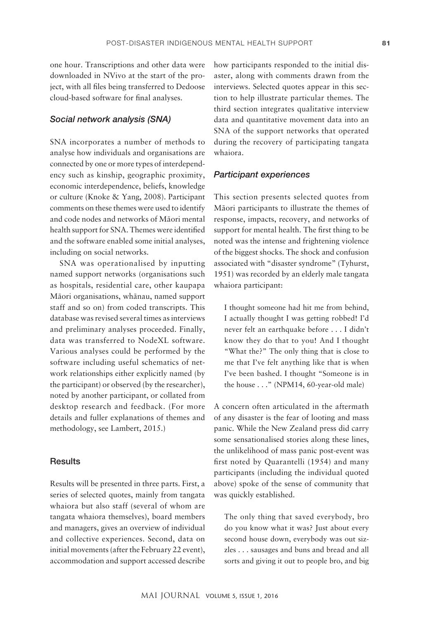one hour. Transcriptions and other data were downloaded in NVivo at the start of the project, with all files being transferred to Dedoose cloud-based software for final analyses.

#### *Social network analysis (SNA)*

SNA incorporates a number of methods to analyse how individuals and organisations are connected by one or more types of interdependency such as kinship, geographic proximity, economic interdependence, beliefs, knowledge or culture (Knoke & Yang, 2008). Participant comments on these themes were used to identify and code nodes and networks of Mäori mental health support for SNA. Themes were identified and the software enabled some initial analyses, including on social networks.

SNA was operationalised by inputting named support networks (organisations such as hospitals, residential care, other kaupapa Mäori organisations, whänau, named support staff and so on) from coded transcripts. This database was revised several times as interviews and preliminary analyses proceeded. Finally, data was transferred to NodeXL software. Various analyses could be performed by the software including useful schematics of network relationships either explicitly named (by the participant) or observed (by the researcher), noted by another participant, or collated from desktop research and feedback. (For more details and fuller explanations of themes and methodology, see Lambert, 2015.)

#### **Results**

Results will be presented in three parts. First, a series of selected quotes, mainly from tangata whaiora but also staff (several of whom are tangata whaiora themselves), board members and managers, gives an overview of individual and collective experiences. Second, data on initial movements (after the February 22 event), accommodation and support accessed describe how participants responded to the initial disaster, along with comments drawn from the interviews. Selected quotes appear in this section to help illustrate particular themes. The third section integrates qualitative interview data and quantitative movement data into an SNA of the support networks that operated during the recovery of participating tangata whaiora.

#### *Participant experiences*

This section presents selected quotes from Mäori participants to illustrate the themes of response, impacts, recovery, and networks of support for mental health. The first thing to be noted was the intense and frightening violence of the biggest shocks. The shock and confusion associated with "disaster syndrome" (Tyhurst, 1951) was recorded by an elderly male tangata whaiora participant:

I thought someone had hit me from behind, I actually thought I was getting robbed! I'd never felt an earthquake before . . . I didn't know they do that to you! And I thought "What the?" The only thing that is close to me that I've felt anything like that is when I've been bashed. I thought "Someone is in the house  $\dots$ ." (NPM14, 60-vear-old male)

A concern often articulated in the aftermath of any disaster is the fear of looting and mass panic. While the New Zealand press did carry some sensationalised stories along these lines, the unlikelihood of mass panic post-event was first noted by Quarantelli (1954) and many participants (including the individual quoted above) spoke of the sense of community that was quickly established.

The only thing that saved everybody, bro do you know what it was? Just about every second house down, everybody was out sizzles . . . sausages and buns and bread and all sorts and giving it out to people bro, and big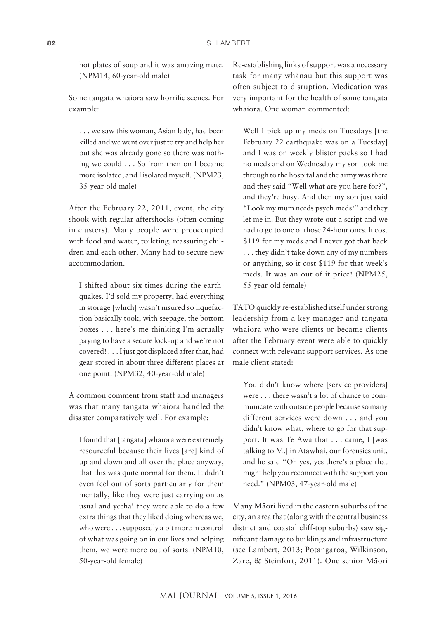hot plates of soup and it was amazing mate. (NPM14, 60-year-old male)

Some tangata whaiora saw horrific scenes. For example:

. . . we saw this woman, Asian lady, had been killed and we went over just to try and help her but she was already gone so there was nothing we could . . . So from then on I became more isolated, and I isolated myself. (NPM23, 35- year- old male)

After the February 22, 2011, event, the city shook with regular aftershocks (often coming in clusters). Many people were preoccupied with food and water, toileting, reassuring children and each other. Many had to secure new accommodation.

I shifted about six times during the earthquakes. I'd sold my property, had everything in storage [which] wasn't insured so liquefaction basically took, with seepage, the bottom boxes . . . here's me thinking I'm actually paying to have a secure lock-up and we're not covered! . . . I just got displaced after that, had gear stored in about three different places at one point. (NPM32, 40-year-old male)

A common comment from staff and managers was that many tangata whaiora handled the disaster comparatively well. For example:

I found that [tangata] whaiora were extremely resourceful because their lives [are] kind of up and down and all over the place anyway, that this was quite normal for them. It didn't even feel out of sorts particularly for them mentally, like they were just carrying on as usual and yeeha! they were able to do a few extra things that they liked doing whereas we, who were . . . supposedly a bit more in control of what was going on in our lives and helping them, we were more out of sorts. (NPM10, 50- year- old female)

Re- establishing links of support was a necessary task for many whänau but this support was often subject to disruption. Medication was very important for the health of some tangata whaiora. One woman commented:

Well I pick up my meds on Tuesdays [the February 22 earthquake was on a Tuesday] and I was on weekly blister packs so I had no meds and on Wednesday my son took me through to the hospital and the army was there and they said "Well what are you here for?", and they're busy. And then my son just said "Look my mum needs psych meds!" and they let me in. But they wrote out a script and we had to go to one of those 24- hour ones. It cost \$119 for my meds and I never got that back . . . they didn't take down any of my numbers or anything, so it cost \$119 for that week's meds. It was an out of it price! (NPM25, 55- year- old female)

TATO quickly re-established itself under strong leadership from a key manager and tangata whaiora who were clients or became clients after the February event were able to quickly connect with relevant support services. As one male client stated:

You didn't know where [service providers] were . . . there wasn't a lot of chance to communicate with outside people because so many different services were down . . . and you didn't know what, where to go for that support. It was Te Awa that . . . came, I [was talking to M.] in Atawhai, our forensics unit, and he said "Oh yes, yes there's a place that might help you reconnect with the support you need." (NPM03, 47-year-old male)

Many Mäori lived in the eastern suburbs of the city, an area that (along with the central business district and coastal cliff-top suburbs) saw significant damage to buildings and infrastructure (see Lambert, 2013; Potangaroa, Wilkinson, Zare, & Steinfort, 2011). One senior Mäori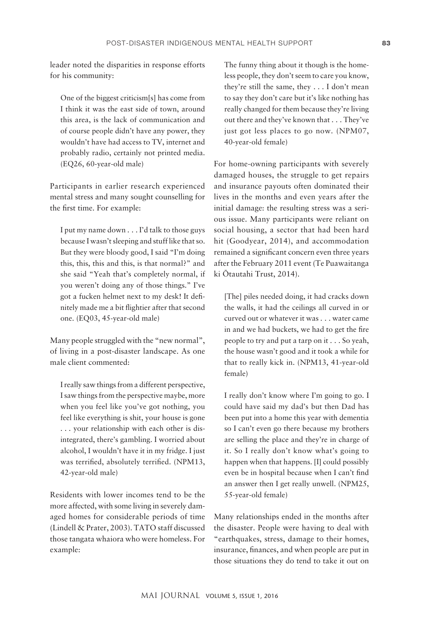leader noted the disparities in response efforts for his community:

One of the biggest criticism[s] has come from I think it was the east side of town, around this area, is the lack of communication and of course people didn't have any power, they wouldn't have had access to TV, internet and probably radio, certainly not printed media. (EQ26, 60-year-old male)

Participants in earlier research experienced mental stress and many sought counselling for the first time. For example:

I put my name down . . . I'd talk to those guys because I wasn't sleeping and stuff like that so. But they were bloody good, I said "I'm doing this, this, this and this, is that normal?" and she said "Yeah that's completely normal, if you weren't doing any of those things." I've got a fucken helmet next to my desk! It definitely made me a bit flightier after that second one. (EQ03, 45-year-old male)

Many people struggled with the "new normal", of living in a post- disaster landscape. As one male client commented:

I really saw things from a different perspective, I saw things from the perspective maybe, more when you feel like you've got nothing, you feel like everything is shit, your house is gone . . . your relationship with each other is disintegrated, there's gambling. I worried about alcohol, I wouldn't have it in my fridge. I just was terrified, absolutely terrified. (NPM13, 42- year- old male)

Residents with lower incomes tend to be the more affected, with some living in severely damaged homes for considerable periods of time (Lindell & Prater, 2003). TATO staff discussed those tangata whaiora who were homeless. For example:

The funny thing about it though is the homeless people, they don't seem to care you know, they're still the same, they . . . I don't mean to say they don't care but it's like nothing has really changed for them because they're living out there and they've known that . . . They've just got less places to go now. (NPM07, 40- year- old female)

For home-owning participants with severely damaged houses, the struggle to get repairs and insurance payouts often dominated their lives in the months and even years after the initial damage: the resulting stress was a serious issue. Many participants were reliant on social housing, a sector that had been hard hit (Goodyear, 2014), and accommodation remained a significant concern even three years after the February 2011 event (Te Puawaitanga ki Ötautahi Trust, 2014).

[The] piles needed doing, it had cracks down the walls, it had the ceilings all curved in or curved out or whatever it was . . . water came in and we had buckets, we had to get the fire people to try and put a tarp on it . . . So yeah, the house wasn't good and it took a while for that to really kick in. (NPM13, 41-year-old female)

I really don't know where I'm going to go. I could have said my dad's but then Dad has been put into a home this year with dementia so I can't even go there because my brothers are selling the place and they're in charge of it. So I really don't know what's going to happen when that happens. [I] could possibly even be in hospital because when I can't find an answer then I get really unwell. (NPM25, 55- year- old female)

Many relationships ended in the months after the disaster. People were having to deal with "earthquakes, stress, damage to their homes, insurance, finances, and when people are put in those situations they do tend to take it out on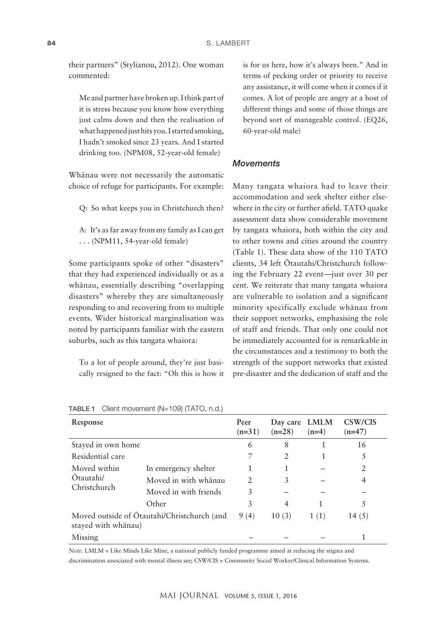their partners" (Stylianou, 2012). One woman commented:

Me and partner have broken up. I think part of it is stress because you know how everything just calms down and then the realisation of what happened just hits you. I started smoking, I hadn't smoked since 23 years. And I started drinking too. (NPM08, 52-year-old female)

Whänau were not necessarily the automatic choice of refuge for participants. For example:

Q: So what keeps you in Christchurch then?

A: It's as far away from my family as I can get ... (NPM11, 54-year-old female)

Some participants spoke of other "disasters" that they had experienced individually or as a whänau, essentially describing "overlapping disasters" whereby they are simultaneously responding to and recovering from to multiple events. Wider historical marginalisation was noted by participants familiar with the eastern suburbs, such as this tangata whaiora:

To a lot of people around, they're just basically resigned to the fact: "Oh this is how it is for us here, how it's always been." And in terms of pecking order or priority to receive any assistance, it will come when it comes if it comes. A lot of people are angry at a host of different things and some of those things are beyond sort of manageable control. (EQ26, 60- year- old male)

#### *Movements*

Many tangata whaiora had to leave their accommodation and seek shelter either elsewhere in the city or further afield. TATO quake assessment data show considerable movement by tangata whaiora, both within the city and to other towns and cities around the country (Table 1). These data show of the 110 TATO clients, 34 left Ötautahi/Christchurch following the February 22 event—just over 30 per cent. We reiterate that many tangata whaiora are vulnerable to isolation and a significant minority specifically exclude whänau from their support networks, emphasising the role of staff and friends. That only one could not be immediately accounted for is remarkable in the circumstances and a testimony to both the strength of the support networks that existed pre- disaster and the dedication of staff and the

| Response                                                           |                       | Peer<br>$(n=31)$ | Day care LMLM<br>$(n=28)$ | $(n=4)$ | CSW/CIS<br>$(n=47)$ |
|--------------------------------------------------------------------|-----------------------|------------------|---------------------------|---------|---------------------|
| Stayed in own home                                                 |                       | 6                | 8                         |         | 16                  |
| Residential care                                                   |                       | 7                | $\overline{2}$            |         |                     |
| Moved within                                                       | In emergency shelter  | 1                |                           |         | 2                   |
| Otautahi/                                                          | Moved in with whānau  | $\overline{2}$   | 3                         |         | 4                   |
| Christchurch                                                       | Moved in with friends | 3                |                           |         |                     |
|                                                                    | Other                 | 3                | $\overline{4}$            |         |                     |
| Moved outside of Otautahi/Christchurch (and<br>stayed with whānau) |                       | 9(4)             | 10(3)                     | 1(1)    | 14 $(5)$            |
| Missing                                                            |                       |                  |                           |         |                     |

TABLE 1 Client movement (N=109) (TATO, n.d.)

*Note.* LMLM = Like Minds Like Mine, a national publicly funded programme aimed at reducing the stigma and discrimination associated with mental illness see; CSW/CIS = Community Social Worker/Clinical Information Systems.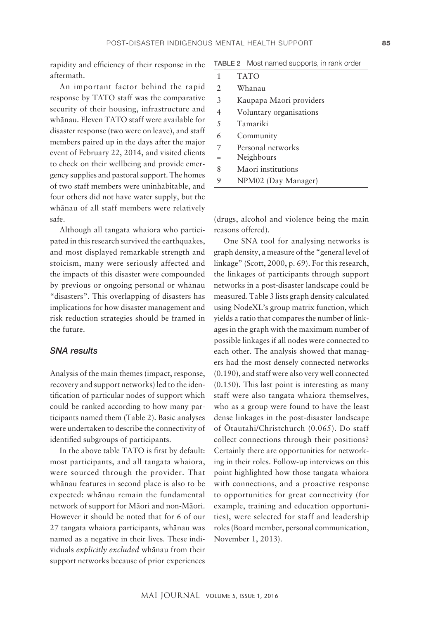rapidity and efficiency of their response in the aftermath.

An important factor behind the rapid response by TATO staff was the comparative security of their housing, infrastructure and whänau. Eleven TATO staff were available for disaster response (two were on leave), and staff members paired up in the days after the major event of February 22, 2014, and visited clients to check on their wellbeing and provide emergency supplies and pastoral support. The homes of two staff members were uninhabitable, and four others did not have water supply, but the whänau of all staff members were relatively safe.

Although all tangata whaiora who participated in this research survived the earthquakes, and most displayed remarkable strength and stoicism, many were seriously affected and the impacts of this disaster were compounded by previous or ongoing personal or whänau "disasters". This overlapping of disasters has implications for how disaster management and risk reduction strategies should be framed in the future.

#### *SNA results*

Analysis of the main themes (impact, response, recovery and support networks) led to the identification of particular nodes of support which could be ranked according to how many participants named them (Table 2). Basic analyses were undertaken to describe the connectivity of identified subgroups of participants.

In the above table TATO is first by default: most participants, and all tangata whaiora, were sourced through the provider. That whänau features in second place is also to be expected: whänau remain the fundamental network of support for Mäori and non- Mäori. However it should be noted that for 6 of our 27 tangata whaiora participants, whänau was named as a negative in their lives. These individuals *explicitly excluded* whänau from their support networks because of prior experiences TABLE2 Most named supports, in rank order

| 1   | <b>TATO</b>             |
|-----|-------------------------|
| 2   | Whānau                  |
| 3   | Kaupapa Māori providers |
| 4   | Voluntary organisations |
| 5   | Tamariki                |
| 6   | Community               |
| 7   | Personal networks       |
| $=$ | Neighbours              |
| 8   | Māori institutions      |
| 9   | NPM02 (Day Manager)     |

(drugs, alcohol and violence being the main reasons offered).

One SNA tool for analysing networks is graph density, a measure of the "general level of linkage" (Scott, 2000, p. 69). For this research, the linkages of participants through support networks in a post-disaster landscape could be measured. Table 3 lists graph density calculated using NodeXL's group matrix function, which yields a ratio that compares the number of linkages in the graph with the maximum number of possible linkages if all nodes were connected to each other. The analysis showed that managers had the most densely connected networks (0.190), and staff were also very well connected (0.150). This last point is interesting as many staff were also tangata whaiora themselves, who as a group were found to have the least dense linkages in the post-disaster landscape of Ötautahi/Christchurch (0.065). Do staff collect connections through their positions? Certainly there are opportunities for networking in their roles. Follow-up interviews on this point highlighted how those tangata whaiora with connections, and a proactive response to opportunities for great connectivity (for example, training and education opportunities), were selected for staff and leadership roles (Board member, personal communication, November 1, 2013).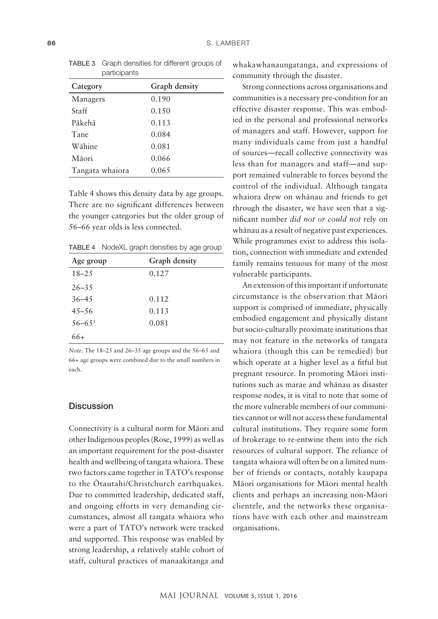| --- -- - - <sub>1</sub> - |               |  |  |
|---------------------------|---------------|--|--|
| Category                  | Graph density |  |  |
| Managers                  | 0.190         |  |  |
| Staff                     | 0.150         |  |  |
| Pākehā                    | 0.113         |  |  |
| Tane                      | 0.084         |  |  |
| Wāhine                    | 0.081         |  |  |
| Māori                     | 0.066         |  |  |
| Tangata whaiora           | 0.065         |  |  |

TABLE 3 Graph densities for different groups of participants

Table 4 shows this density data by age groups. There are no significant differences between the younger categories but the older group of 56–66 year olds is less connected.

TABLE 4 NodeXL graph densities by age group

| Age group  | Graph density |
|------------|---------------|
| $18 - 2.5$ | 0.127         |
| $26 - 35$  |               |
| $36 - 45$  | 0.112         |
| $45 - 56$  | 0.113         |
| $56 - 651$ | 0.081         |
| 66+        |               |

*Note.* The 18–25 and 26–35 age groups and the 56–65 and 66+ age groups were combined due to the small numbers in each.

#### **Discussion**

Connectivity is a cultural norm for Mäori and other Indigenous peoples (Rose, 1999) as well as an important requirement for the post- disaster health and wellbeing of tangata whaiora. These two factors came together in TATO's response to the Ötautahi/Christchurch earthquakes. Due to committed leadership, dedicated staff, and ongoing efforts in very demanding circumstances, almost all tangata whaiora who were a part of TATO's network were tracked and supported. This response was enabled by strong leadership, a relatively stable cohort of staff, cultural practices of manaakitanga and

whakawhanaungatanga, and expressions of community through the disaster.

Strong connections across organisations and communities is a necessary pre-condition for an effective disaster response. This was embodied in the personal and professional networks of managers and staff. However, support for many individuals came from just a handful of sources—recall collective connectivity was less than for managers and staff—and support remained vulnerable to forces beyond the control of the individual. Although tangata whaiora drew on whänau and friends to get through the disaster, we have seen that a signifi cant number *did not or could not* rely on whänau as a result of negative past experiences. While programmes exist to address this isolation, connection with immediate and extended family remains tenuous for many of the most vulnerable participants.

An extension of this important if unfortunate circumstance is the observation that Mäori support is comprised of immediate, physically embodied engagement and physically distant but socio- culturally proximate institutions that may not feature in the networks of tangata whaiora (though this can be remedied) but which operate at a higher level as a fitful but pregnant resource. In promoting Mäori institutions such as marae and whänau as disaster response nodes, it is vital to note that some of the more vulnerable members of our communities cannot or will not access these fundamental cultural institutions. They require some form of brokerage to re-entwine them into the rich resources of cultural support. The reliance of tangata whaiora will often be on a limited number of friends or contacts, notably kaupapa Mäori organisations for Mäori mental health clients and perhaps an increasing non-Māori clientele, and the networks these organisations have with each other and mainstream organisations.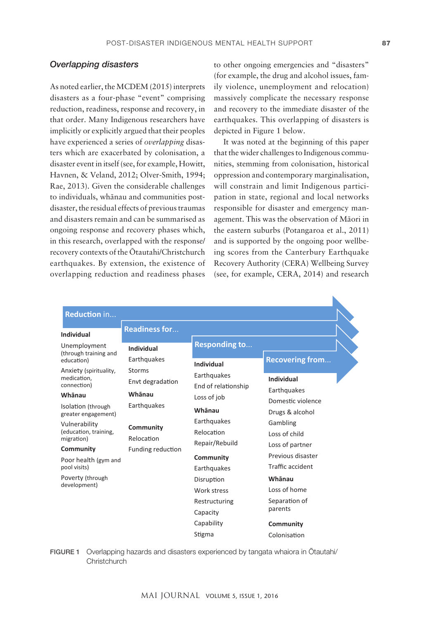#### *Overlapping disasters*

As noted earlier, the MCDEM (2015) interprets disasters as a four-phase "event" comprising reduction, readiness, response and recovery, in that order. Many Indigenous researchers have implicitly or explicitly argued that their peoples have experienced a series of *overlapping* disasters which are exacerbated by colonisation, a disaster event in itself (see, for example, Howitt, Havnen, & Veland, 2012; Olver-Smith, 1994; Rae, 2013). Given the considerable challenges to individuals, whänau and communities postdisaster, the residual effects of previous traumas and disasters remain and can be summarised as ongoing response and recovery phases which, in this research, overlapped with the response/ recovery contexts of the Ötautahi/Christchurch earthquakes. By extension, the existence of overlapping reduction and readiness phases

to other ongoing emergencies and "disasters" (for example, the drug and alcohol issues, family violence, unemployment and relocation) massively complicate the necessary response and recovery to the immediate disaster of the earthquakes. This overlapping of disasters is depicted in Figure 1 below.

It was noted at the beginning of this paper that the wider challenges to Indigenous communities, stemming from colonisation, historical oppression and contemporary marginalisation, will constrain and limit Indigenous participation in state, regional and local networks responsible for disaster and emergency management. This was the observation of Mäori in the eastern suburbs (Potangaroa et al., 2011) and is supported by the ongoing poor wellbeing scores from the Canterbury Earthquake Recovery Authority (CERA) Wellbeing Survey (see, for example, CERA, 2014) and research

|                                                                                 | <b>Readiness for</b>                                                                                  |                                                                                                                                        |                                                          |  |
|---------------------------------------------------------------------------------|-------------------------------------------------------------------------------------------------------|----------------------------------------------------------------------------------------------------------------------------------------|----------------------------------------------------------|--|
| Unemployment<br>(through training and<br>education)                             | Individual<br><b>Individual</b><br>Earthquakes<br>Storms<br>Envt degradation<br>Whānau<br>Earthquakes | <b>Responding to</b><br><b>Individual</b>                                                                                              | <b>Recovering from</b>                                   |  |
| Anxiety (spirituality,<br>medication.<br>connection)                            |                                                                                                       | Earthquakes<br>End of relationship<br>Loss of job<br>Whānau<br>Earthquakes<br>Relocation<br>Repair/Rebuild<br>Community<br>Earthquakes | Individual<br>Earthquakes                                |  |
| Whānau<br>Isolation (through<br>greater engagement)                             |                                                                                                       |                                                                                                                                        | Domestic violence<br>Drugs & alcohol                     |  |
| Vulnerability<br>Community<br>(education, training,<br>Relocation<br>migration) |                                                                                                       |                                                                                                                                        | Gambling<br>Loss of child                                |  |
| Community<br>Poor health (gym and<br>pool visits)                               | <b>Funding reduction</b>                                                                              |                                                                                                                                        | Loss of partner<br>Previous disaster<br>Traffic accident |  |
| Poverty (through<br>development)                                                |                                                                                                       | Disruption<br>Work stress                                                                                                              | Whānau<br>Loss of home                                   |  |
|                                                                                 |                                                                                                       | Restructuring<br>Capacity                                                                                                              | Separation of<br>parents                                 |  |
|                                                                                 |                                                                                                       | Capability                                                                                                                             | Community                                                |  |
|                                                                                 |                                                                                                       | Stigma                                                                                                                                 | Colonisation                                             |  |

FIGURE 1 Overlapping hazards and disasters experienced by tangata whaiora in Ötautahi/ **Christchurch**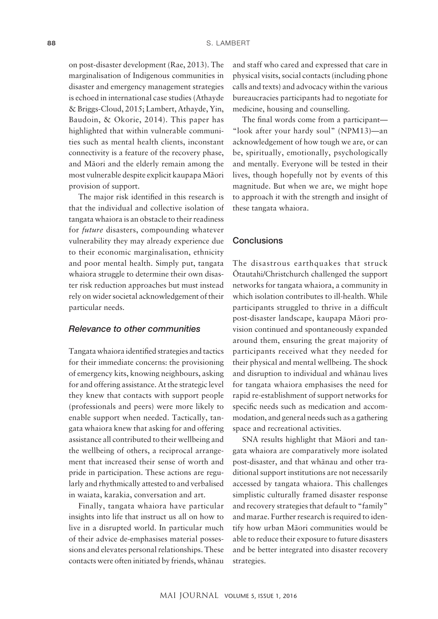on post- disaster development (Rae, 2013). The marginalisation of Indigenous communities in disaster and emergency management strategies is echoed in international case studies (Athayde & Briggs- Cloud, 2015; Lambert, Athayde, Yin, Baudoin, & Okorie, 2014). This paper has highlighted that within vulnerable communities such as mental health clients, inconstant connectivity is a feature of the recovery phase, and Mäori and the elderly remain among the most vulnerable despite explicit kaupapa Mäori provision of support.

The major risk identified in this research is that the individual and collective isolation of tangata whaiora is an obstacle to their readiness for *future* disasters, compounding whatever vulnerability they may already experience due to their economic marginalisation, ethnicity and poor mental health. Simply put, tangata whaiora struggle to determine their own disaster risk reduction approaches but must instead rely on wider societal acknowledgement of their particular needs.

#### *Relevance to other communities*

Tangata whaiora identified strategies and tactics for their immediate concerns: the provisioning of emergency kits, knowing neighbours, asking for and offering assistance. At the strategic level they knew that contacts with support people (professionals and peers) were more likely to enable support when needed. Tactically, tangata whaiora knew that asking for and offering assistance all contributed to their wellbeing and the wellbeing of others, a reciprocal arrangement that increased their sense of worth and pride in participation. These actions are regularly and rhythmically attested to and verbalised in waiata, karakia, conversation and art.

Finally, tangata whaiora have particular insights into life that instruct us all on how to live in a disrupted world. In particular much of their advice de-emphasises material possessions and elevates personal relationships. These contacts were often initiated by friends, whänau

and staff who cared and expressed that care in physical visits, social contacts (including phone calls and texts) and advocacy within the various bureaucracies participants had to negotiate for medicine, housing and counselling.

The final words come from a participant— "look after your hardy soul" (NPM13)—an acknowledgement of how tough we are, or can be, spiritually, emotionally, psychologically and mentally. Everyone will be tested in their lives, though hopefully not by events of this magnitude. But when we are, we might hope to approach it with the strength and insight of these tangata whaiora.

#### **Conclusions**

The disastrous earthquakes that struck Ötautahi/Christchurch challenged the support networks for tangata whaiora, a community in which isolation contributes to ill-health. While participants struggled to thrive in a difficult post- disaster landscape, kaupapa Mäori provision continued and spontaneously expanded around them, ensuring the great majority of participants received what they needed for their physical and mental wellbeing. The shock and disruption to individual and whänau lives for tangata whaiora emphasises the need for rapid re- establishment of support networks for specific needs such as medication and accommodation, and general needs such as a gathering space and recreational activities.

SNA results highlight that Mäori and tangata whaiora are comparatively more isolated post- disaster, and that whänau and other traditional support institutions are not necessarily accessed by tangata whaiora. This challenges simplistic culturally framed disaster response and recovery strategies that default to "family" and marae. Further research is required to identify how urban Mäori communities would be able to reduce their exposure to future disasters and be better integrated into disaster recovery strategies.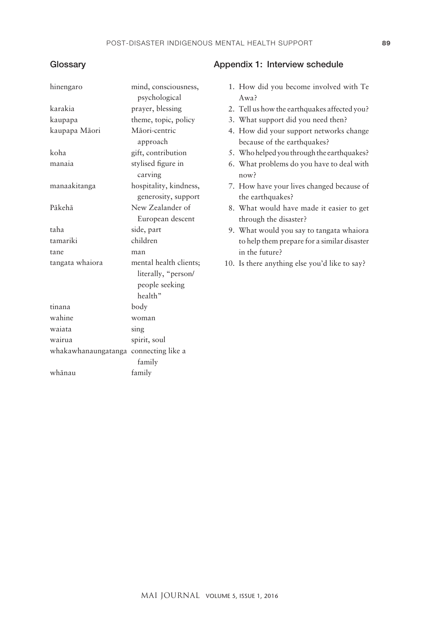# **Glossary**

| hinengaro                             | mind, consciousness,<br>psychological                                      | 1. How did you become involved with Te<br>Awa?                         |
|---------------------------------------|----------------------------------------------------------------------------|------------------------------------------------------------------------|
| karakia                               | prayer, blessing                                                           | 2. Tell us how the earthquakes affected you?                           |
| kaupapa                               | theme, topic, policy                                                       | 3. What support did you need then?                                     |
| kaupapa Māori                         | Māori-centric<br>approach                                                  | 4. How did your support networks change<br>because of the earthquakes? |
| koha                                  | gift, contribution                                                         | 5. Who helped you through the earthquakes?                             |
| manaia                                | stylised figure in<br>carving                                              | 6. What problems do you have to deal with<br>now?                      |
| manaakitanga                          | hospitality, kindness,<br>generosity, support                              | 7. How have your lives changed because of<br>the earthquakes?          |
| Pākehā                                | New Zealander of<br>European descent                                       | 8. What would have made it easier to get<br>through the disaster?      |
| taha                                  | side, part                                                                 | 9. What would you say to tangata whaiora                               |
| tamariki                              | children                                                                   | to help them prepare for a similar disaster                            |
| tane                                  | man                                                                        | in the future?                                                         |
| tangata whaiora                       | mental health clients;<br>literally, "person/<br>people seeking<br>health" | 10. Is there anything else you'd like to say?                          |
| tinana                                | body                                                                       |                                                                        |
| wahine                                | woman                                                                      |                                                                        |
| waiata                                | sing                                                                       |                                                                        |
| wairua                                | spirit, soul                                                               |                                                                        |
| whakawhanaungatanga connecting like a |                                                                            |                                                                        |
|                                       | family                                                                     |                                                                        |
| whānau                                | family                                                                     |                                                                        |

# Appendix 1: Interview schedule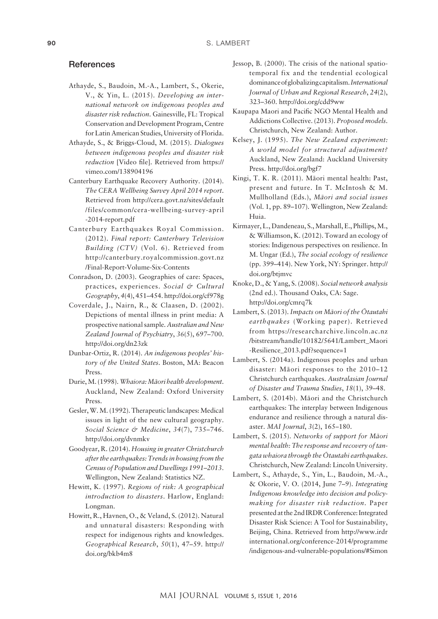#### **References**

- Athayde, S., Baudoin, M.-A., Lambert, S., Okerie, V., & Yin, L. (2015). *Developing an international network on indigenous peoples and disaster risk reduction*. Gainesville, FL: Tropical Conservation and Development Program, Centre for Latin American Studies, University of Florida.
- Athayde, S., & Briggs- Cloud, M. (2015). *Dialogues between indigenous peoples and disaster risk reduction* [Video file]. Retrieved from https:// vimeo.com/138904196
- Canterbury Earthquake Recovery Authority. (2014). *The CERA Wellbeing Survey April 2014 report*. Retrieved from http://cera.govt.nz/sites/default /files/common/cera- wellbeing- survey- april -2014-report.pdf
- Canterbury Earthquakes Royal Commission. (2012). *Final report: Canterbury Television Building (CTV)* (Vol. 6). Retrieved from http://canterbury.royalcommission.govt.nz /Final-Report-Volume-Six-Contents
- Conradson, D. (2003). Geographies of care: Spaces, practices, experiences. *Social & Cultural Geography*, *4*(4), 451–454. http://doi.org/cf978g
- Coverdale, J., Nairn, R., & Claasen, D. (2002). Depictions of mental illness in print media: A prospective national sample. *Australian and New Zealand Journal of Psychiatry*, *36*(5), 697–700. http://doi.org/dn23zk
- Dunbar- Ortiz, R. (2014). *An indigenous peoples' history of the United States*. Boston, MA: Beacon Press.
- Durie, M. (1998). *Whaiora: Mäori health development*. Auckland, New Zealand: Oxford University Press.
- Gesler, W. M. (1992). Therapeutic landscapes: Medical issues in light of the new cultural geography. *Social Science & Medicine*, *34*(7), 735–746. http://doi.org/dvnmkv
- Goodyear, R. (2014). *Housing in greater Christchurch after the earthquakes: Trends in housing from the Census of Population and Dwellings 1991–2013*. Wellington, New Zealand: Statistics NZ.
- Hewitt, K. (1997). *Regions of risk: A geographical introduction to disasters*. Harlow, England: Longman.
- Howitt, R., Havnen, O., & Veland, S. (2012). Natural and unnatural disasters: Responding with respect for indigenous rights and knowledges. *Geographical Research*, *50*(1), 47–59. http:// doi.org/bkb4m8
- Jessop, B. (2000). The crisis of the national spatiotemporal fix and the tendential ecological dominance of globalizing capitalism. *International Journal of Urban and Regional Research*, *24*(2), 323–360. http://doi.org/cdd9ww
- Kaupapa Maori and Pacific NGO Mental Health and Addictions Collective. (2013). *Proposed models*. Christchurch, New Zealand: Author.
- Kelsey, J. (1995). *The New Zealand experiment: A world model for structural adjustment?* Auckland, New Zealand: Auckland University Press. http://doi.org/bgf7
- Kingi, T. K. R. (2011). Mäori mental health: Past, present and future. In T. McIntosh & M. Mullholland (Eds.), *Mäori and social issues* (Vol. 1, pp. 89–107). Wellington, New Zealand: Huia.
- Kirmayer, L., Dandeneau, S., Marshall, E., Phillips, M., & Williamson, K. (2012). Toward an ecology of stories: Indigenous perspectives on resilience. In M. Ungar (Ed.), *The social ecology of resilience* (pp. 399–414). New York, NY: Springer. http:// doi.org/btjmvc
- Knoke, D., & Yang, S. (2008). *Social network analysis* (2nd ed.). Thousand Oaks, CA: Sage. http://doi.org/cmrq7k
- Lambert, S. (2013). *Impacts on Mäori of the Ötautahi earthquakes* (Working paper). Retrieved from https://researcharchive.lincoln.ac.nz /bitstream/handle/10182/5641/Lambert\_Maori - Resilience\_2013.pdf?sequence=1
- Lambert, S. (2014a). Indigenous peoples and urban disaster: Mäori responses to the 2010–12 Christchurch earthquakes. *Australasian Journal of Disaster and Trauma Studies*, *18*(1), 39–48.
- Lambert, S. (2014b). Mäori and the Christchurch earthquakes: The interplay between Indigenous endurance and resilience through a natural disaster. *MAI Journal*, *3*(2), 165–180.
- Lambert, S. (2015). *Networks of support for Mäori mental health: The response and recovery of tangata whaiora through the Ötautahi earthquakes*. Christchurch, New Zealand: Lincoln University.
- Lambert, S., Athayde, S., Yin, L., Baudoin, M.-A., & Okorie, V. O. (2014, June 7–9). *Integrating Indigenous knowledge into decision and policymaking for disaster risk reduction*. Paper presented at the 2nd IRDR Conference: Integrated Disaster Risk Science: A Tool for Sustainability, Beijing, China. Retrieved from http://www.irdr international.org/conference-2014/programme /indigenous- and- vulnerable- populations/#Simon